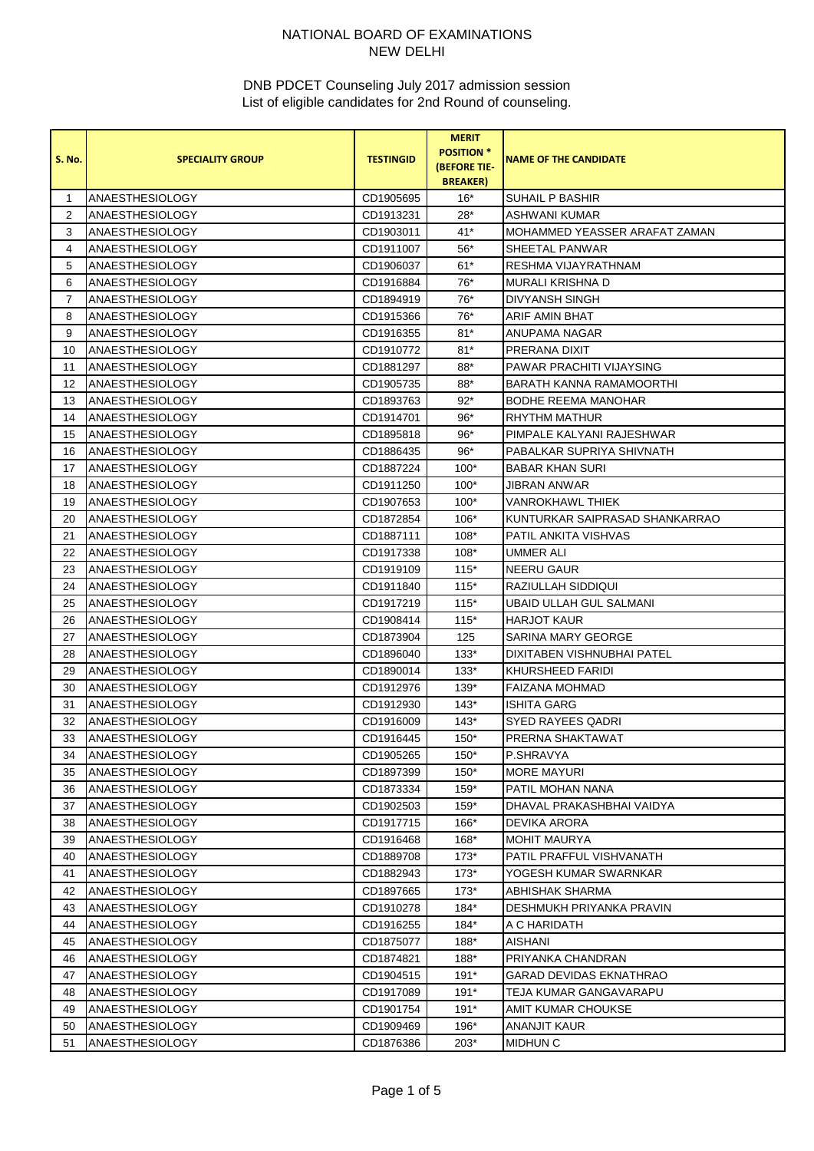| <b>S. No.</b>  | <b>SPECIALITY GROUP</b>                          | <b>TESTINGID</b>       | <b>MERIT</b><br><b>POSITION *</b><br><b>(BEFORE TIE-</b><br><b>BREAKER</b> ) | <b>NAME OF THE CANDIDATE</b>                 |
|----------------|--------------------------------------------------|------------------------|------------------------------------------------------------------------------|----------------------------------------------|
| 1              | <b>ANAESTHESIOLOGY</b>                           | CD1905695              | $16*$                                                                        | <b>SUHAIL P BASHIR</b>                       |
| 2              | <b>ANAESTHESIOLOGY</b>                           | CD1913231              | $28*$                                                                        | ASHWANI KUMAR                                |
| 3              | <b>ANAESTHESIOLOGY</b>                           | CD1903011              | 41*                                                                          | MOHAMMED YEASSER ARAFAT ZAMAN                |
| 4              | <b>ANAESTHESIOLOGY</b>                           | CD1911007              | $56*$                                                                        | SHEETAL PANWAR                               |
| 5              | ANAESTHESIOLOGY                                  | CD1906037              | 61*                                                                          | RESHMA VIJAYRATHNAM                          |
| 6              | ANAESTHESIOLOGY                                  | CD1916884              | 76*                                                                          | MURALI KRISHNA D                             |
| $\overline{7}$ | <b>ANAESTHESIOLOGY</b>                           | CD1894919              | 76*                                                                          | <b>DIVYANSH SINGH</b>                        |
| 8              | <b>ANAESTHESIOLOGY</b>                           | CD1915366              | 76*                                                                          | ARIF AMIN BHAT                               |
| 9              | ANAESTHESIOLOGY                                  | CD1916355              | $81*$                                                                        | ANUPAMA NAGAR                                |
| 10             | <b>ANAESTHESIOLOGY</b>                           | CD1910772              | $81*$                                                                        | PRERANA DIXIT                                |
| 11             | <b>ANAESTHESIOLOGY</b>                           | CD1881297              | 88*                                                                          | PAWAR PRACHITI VIJAYSING                     |
| 12             | <b>ANAESTHESIOLOGY</b>                           | CD1905735              | 88*                                                                          | BARATH KANNA RAMAMOORTHI                     |
| 13             | <b>ANAESTHESIOLOGY</b>                           | CD1893763              | $92*$                                                                        | <b>BODHE REEMA MANOHAR</b>                   |
| 14             | <b>ANAESTHESIOLOGY</b>                           | CD1914701              | $96*$                                                                        | RHYTHM MATHUR                                |
| 15             | <b>ANAESTHESIOLOGY</b>                           | CD1895818              | $96*$                                                                        | PIMPALE KALYANI RAJESHWAR                    |
| 16             | <b>ANAESTHESIOLOGY</b>                           | CD1886435              | $96*$                                                                        | PABALKAR SUPRIYA SHIVNATH                    |
| 17             | <b>ANAESTHESIOLOGY</b>                           | CD1887224              | $100*$                                                                       | <b>BABAR KHAN SURI</b>                       |
| 18             | <b>ANAESTHESIOLOGY</b>                           | CD1911250              | $100*$                                                                       | JIBRAN ANWAR                                 |
| 19             | <b>ANAESTHESIOLOGY</b>                           | CD1907653              | $100*$                                                                       | <b>VANROKHAWL THIEK</b>                      |
| 20             | <b>ANAESTHESIOLOGY</b>                           | CD1872854              | 106*                                                                         | KUNTURKAR SAIPRASAD SHANKARRAO               |
| 21             | ANAESTHESIOLOGY                                  | CD1887111              | $108*$                                                                       | PATIL ANKITA VISHVAS                         |
| 22             | <b>ANAESTHESIOLOGY</b>                           | CD1917338              | $108*$                                                                       | <b>UMMER ALI</b>                             |
| 23             | <b>ANAESTHESIOLOGY</b>                           | CD1919109              | $115*$                                                                       | NEERU GAUR                                   |
| 24             | <b>ANAESTHESIOLOGY</b>                           | CD1911840              | $115*$                                                                       | RAZIULLAH SIDDIQUI                           |
| 25             | <b>ANAESTHESIOLOGY</b>                           | CD1917219              | $115*$                                                                       | UBAID ULLAH GUL SALMANI                      |
| 26             | <b>ANAESTHESIOLOGY</b>                           | CD1908414              | $115*$                                                                       | <b>HARJOT KAUR</b>                           |
| 27             | <b>ANAESTHESIOLOGY</b>                           | CD1873904              | 125                                                                          | SARINA MARY GEORGE                           |
| 28             | ANAESTHESIOLOGY                                  | CD1896040              | $133*$                                                                       | DIXITABEN VISHNUBHAI PATEL                   |
| 29             | <b>ANAESTHESIOLOGY</b>                           | CD1890014              | $133*$                                                                       | KHURSHEED FARIDI                             |
| 30             | <b>ANAESTHESIOLOGY</b>                           | CD1912976              | 139*                                                                         | <b>FAIZANA MOHMAD</b>                        |
| 31             | <b>ANAESTHESIOLOGY</b>                           | CD1912930              | $143*$                                                                       | <b>ISHITA GARG</b>                           |
| 32             | <b>ANAESTHESIOLOGY</b>                           | CD1916009              | $143*$                                                                       | <b>SYED RAYEES QADRI</b>                     |
| 33             | ANAESTHESIOLOGY                                  | CD1916445              | $150^*$                                                                      | PRERNA SHAKTAWAT                             |
| 34             | ANAESTHESIOLOGY                                  | CD1905265              | $150*$                                                                       | P.SHRAVYA                                    |
| 35             | <b>ANAESTHESIOLOGY</b>                           | CD1897399              | $150*$                                                                       | <b>MORE MAYURI</b>                           |
| 36             | ANAESTHESIOLOGY                                  | CD1873334              | $159*$                                                                       | PATIL MOHAN NANA                             |
| 37             | <b>ANAESTHESIOLOGY</b>                           | CD1902503              | $159*$                                                                       | DHAVAL PRAKASHBHAI VAIDYA                    |
| 38             | ANAESTHESIOLOGY                                  | CD1917715              | 166*                                                                         | DEVIKA ARORA                                 |
| 39             | ANAESTHESIOLOGY                                  | CD1916468              | 168*                                                                         | <b>MOHIT MAURYA</b>                          |
| 40             | ANAESTHESIOLOGY                                  | CD1889708              | $173*$                                                                       | PATIL PRAFFUL VISHVANATH                     |
| 41             | <b>ANAESTHESIOLOGY</b>                           | CD1882943              | $173*$                                                                       | YOGESH KUMAR SWARNKAR                        |
| 42             | <b>ANAESTHESIOLOGY</b>                           | CD1897665              | $173*$                                                                       | ABHISHAK SHARMA                              |
| 43             | <b>ANAESTHESIOLOGY</b>                           | CD1910278              | 184*                                                                         | DESHMUKH PRIYANKA PRAVIN                     |
| 44             | ANAESTHESIOLOGY                                  | CD1916255              | 184*                                                                         | A C HARIDATH                                 |
| 45             | <b>ANAESTHESIOLOGY</b><br><b>ANAESTHESIOLOGY</b> | CD1875077<br>CD1874821 | 188*<br>188*                                                                 | AISHANI                                      |
| 46             | <b>ANAESTHESIOLOGY</b>                           | CD1904515              | $191*$                                                                       | PRIYANKA CHANDRAN<br>GARAD DEVIDAS EKNATHRAO |
| 47<br>48       | ANAESTHESIOLOGY                                  | CD1917089              | $191*$                                                                       | TEJA KUMAR GANGAVARAPU                       |
| 49             | <b>ANAESTHESIOLOGY</b>                           | CD1901754              | $191*$                                                                       | AMIT KUMAR CHOUKSE                           |
| 50             | ANAESTHESIOLOGY                                  | CD1909469              | 196*                                                                         | <b>ANANJIT KAUR</b>                          |
| 51             | ANAESTHESIOLOGY                                  | CD1876386              | $203*$                                                                       | <b>MIDHUN C</b>                              |
|                |                                                  |                        |                                                                              |                                              |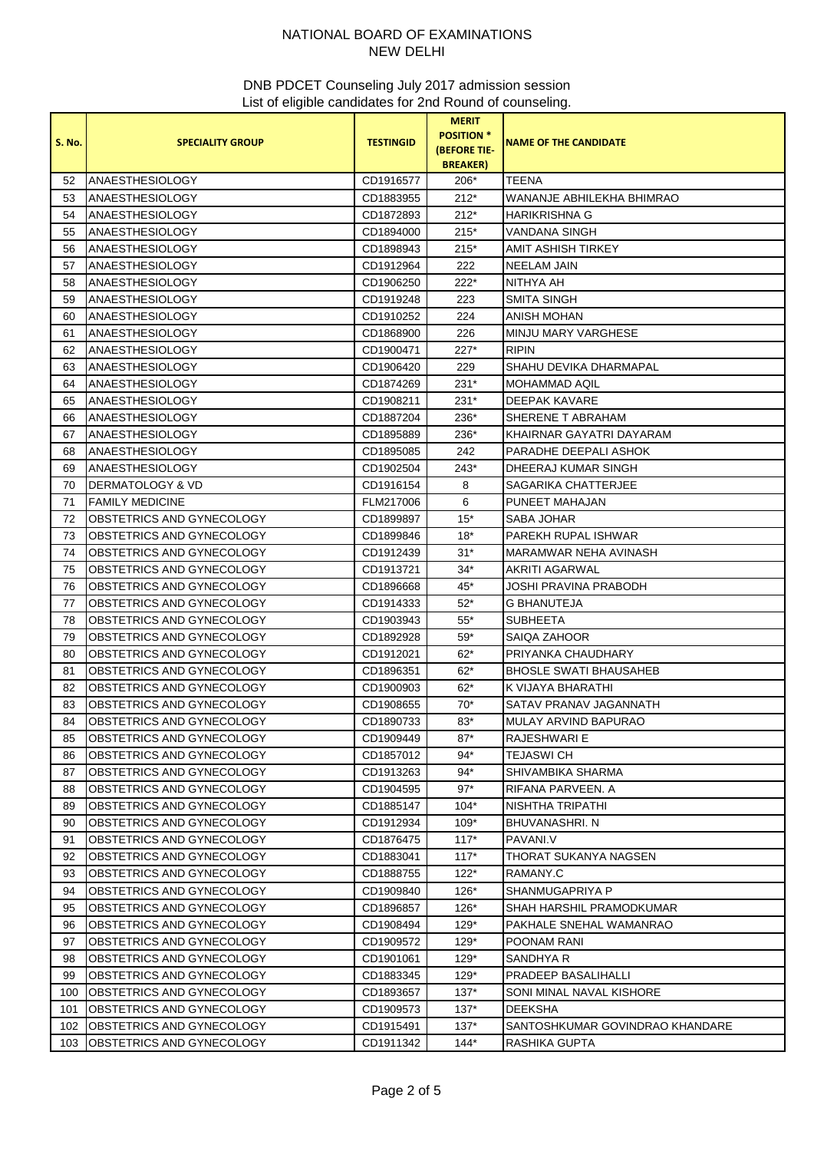|               |                             |                  | <b>MERIT</b>             |                                 |
|---------------|-----------------------------|------------------|--------------------------|---------------------------------|
| <b>S. No.</b> | <b>SPECIALITY GROUP</b>     | <b>TESTINGID</b> | <b>POSITION *</b>        | <b>NAME OF THE CANDIDATE</b>    |
|               |                             |                  | <b>(BEFORE TIE-</b>      |                                 |
| 52            | <b>IANAESTHESIOLOGY</b>     | CD1916577        | <b>BREAKER</b> )<br>206* | TEENA                           |
| 53            | <b>ANAESTHESIOLOGY</b>      | CD1883955        | $212*$                   | WANANJE ABHILEKHA BHIMRAO       |
| 54            | <b>ANAESTHESIOLOGY</b>      | CD1872893        | $212*$                   | <b>HARIKRISHNA G</b>            |
| 55            | <b>ANAESTHESIOLOGY</b>      | CD1894000        | $215*$                   | VANDANA SINGH                   |
| 56            | <b>ANAESTHESIOLOGY</b>      | CD1898943        | $215*$                   | AMIT ASHISH TIRKEY              |
| 57            | <b>ANAESTHESIOLOGY</b>      | CD1912964        | 222                      | <b>NEELAM JAIN</b>              |
| 58            | <b>ANAESTHESIOLOGY</b>      | CD1906250        | $222*$                   | NITHYA AH                       |
| 59            | <b>ANAESTHESIOLOGY</b>      | CD1919248        | 223                      | SMITA SINGH                     |
| 60            | <b>ANAESTHESIOLOGY</b>      | CD1910252        | 224                      | ANISH MOHAN                     |
| 61            | <b>ANAESTHESIOLOGY</b>      | CD1868900        | 226                      | MINJU MARY VARGHESE             |
| 62            | <b>ANAESTHESIOLOGY</b>      | CD1900471        | 227*                     | <b>RIPIN</b>                    |
| 63            | <b>ANAESTHESIOLOGY</b>      | CD1906420        | 229                      | SHAHU DEVIKA DHARMAPAL          |
| 64            | <b>ANAESTHESIOLOGY</b>      | CD1874269        | 231*                     | <b>MOHAMMAD AQIL</b>            |
| 65            | ANAESTHESIOLOGY             | CD1908211        | 231*                     | DEEPAK KAVARE                   |
| 66            | <b>ANAESTHESIOLOGY</b>      | CD1887204        | 236*                     | SHERENE T ABRAHAM               |
| 67            | <b>ANAESTHESIOLOGY</b>      | CD1895889        | 236*                     | KHAIRNAR GAYATRI DAYARAM        |
| 68            | <b>ANAESTHESIOLOGY</b>      | CD1895085        | 242                      | PARADHE DEEPALI ASHOK           |
| 69            | <b>ANAESTHESIOLOGY</b>      | CD1902504        | $243*$                   | DHEERAJ KUMAR SINGH             |
| 70            | <b>DERMATOLOGY &amp; VD</b> | CD1916154        | 8                        | SAGARIKA CHATTERJEE             |
| 71            | <b>FAMILY MEDICINE</b>      | FLM217006        | 6                        | PUNEET MAHAJAN                  |
| 72            | OBSTETRICS AND GYNECOLOGY   | CD1899897        | $15*$                    | SABA JOHAR                      |
| 73            | OBSTETRICS AND GYNECOLOGY   | CD1899846        | $18*$                    | PAREKH RUPAL ISHWAR             |
| 74            | OBSTETRICS AND GYNECOLOGY   | CD1912439        | $31*$                    | MARAMWAR NEHA AVINASH           |
| 75            | OBSTETRICS AND GYNECOLOGY   | CD1913721        | $34*$                    | AKRITI AGARWAL                  |
| 76            | OBSTETRICS AND GYNECOLOGY   | CD1896668        | 45*                      | JOSHI PRAVINA PRABODH           |
| 77            | OBSTETRICS AND GYNECOLOGY   | CD1914333        | $52*$                    | G BHANUTEJA                     |
| 78            | OBSTETRICS AND GYNECOLOGY   | CD1903943        | $55*$                    | <b>SUBHEETA</b>                 |
| 79            | OBSTETRICS AND GYNECOLOGY   | CD1892928        | $59*$                    | SAIQA ZAHOOR                    |
| 80            | OBSTETRICS AND GYNECOLOGY   | CD1912021        | $62*$                    | PRIYANKA CHAUDHARY              |
| 81            | OBSTETRICS AND GYNECOLOGY   | CD1896351        | $62*$                    | <b>BHOSLE SWATI BHAUSAHEB</b>   |
| 82            | OBSTETRICS AND GYNECOLOGY   | CD1900903        | $62*$                    | K VIJAYA BHARATHI               |
| 83            | OBSTETRICS AND GYNECOLOGY   | CD1908655        | 70*                      | SATAV PRANAV JAGANNATH          |
| 84            | OBSTETRICS AND GYNECOLOGY   | CD1890733        | 83*                      | MULAY ARVIND BAPURAO            |
| 85            | OBSTETRICS AND GYNECOLOGY   | CD1909449        | $87*$                    | <b>RAJESHWARI E</b>             |
| 86            | OBSTETRICS AND GYNECOLOGY   | CD1857012        | $94*$                    | <b>TEJASWI CH</b>               |
| 87            | OBSTETRICS AND GYNECOLOGY   | CD1913263        | $94*$                    | SHIVAMBIKA SHARMA               |
| 88            | OBSTETRICS AND GYNECOLOGY   | CD1904595        | $97*$                    | RIFANA PARVEEN. A               |
| 89            | OBSTETRICS AND GYNECOLOGY   | CD1885147        | $104*$                   | NISHTHA TRIPATHI                |
| 90            | OBSTETRICS AND GYNECOLOGY   | CD1912934        | $109*$                   | <b>BHUVANASHRI.N</b>            |
| 91            | OBSTETRICS AND GYNECOLOGY   | CD1876475        | $117*$                   | PAVANI.V                        |
| 92            | OBSTETRICS AND GYNECOLOGY   | CD1883041        | $117*$                   | THORAT SUKANYA NAGSEN           |
| 93            | OBSTETRICS AND GYNECOLOGY   | CD1888755        | $122*$                   | RAMANY.C                        |
| 94            | OBSTETRICS AND GYNECOLOGY   | CD1909840        | $126*$                   | SHANMUGAPRIYA P                 |
| 95            | OBSTETRICS AND GYNECOLOGY   | CD1896857        | $126*$                   | SHAH HARSHIL PRAMODKUMAR        |
| 96            | OBSTETRICS AND GYNECOLOGY   | CD1908494        | $129*$                   | PAKHALE SNEHAL WAMANRAO         |
| 97            | OBSTETRICS AND GYNECOLOGY   | CD1909572        | $129*$                   | POONAM RANI                     |
| 98            | OBSTETRICS AND GYNECOLOGY   | CD1901061        | $129*$                   | SANDHYA R                       |
| 99            | OBSTETRICS AND GYNECOLOGY   | CD1883345        | $129*$                   | PRADEEP BASALIHALLI             |
| 100           | OBSTETRICS AND GYNECOLOGY   | CD1893657        | $137*$                   | SONI MINAL NAVAL KISHORE        |
| 101           | OBSTETRICS AND GYNECOLOGY   | CD1909573        | $137*$                   | <b>DEEKSHA</b>                  |
| 102           | OBSTETRICS AND GYNECOLOGY   | CD1915491        | $137*$                   | SANTOSHKUMAR GOVINDRAO KHANDARE |
| 103           | OBSTETRICS AND GYNECOLOGY   | CD1911342        | $144*$                   | RASHIKA GUPTA                   |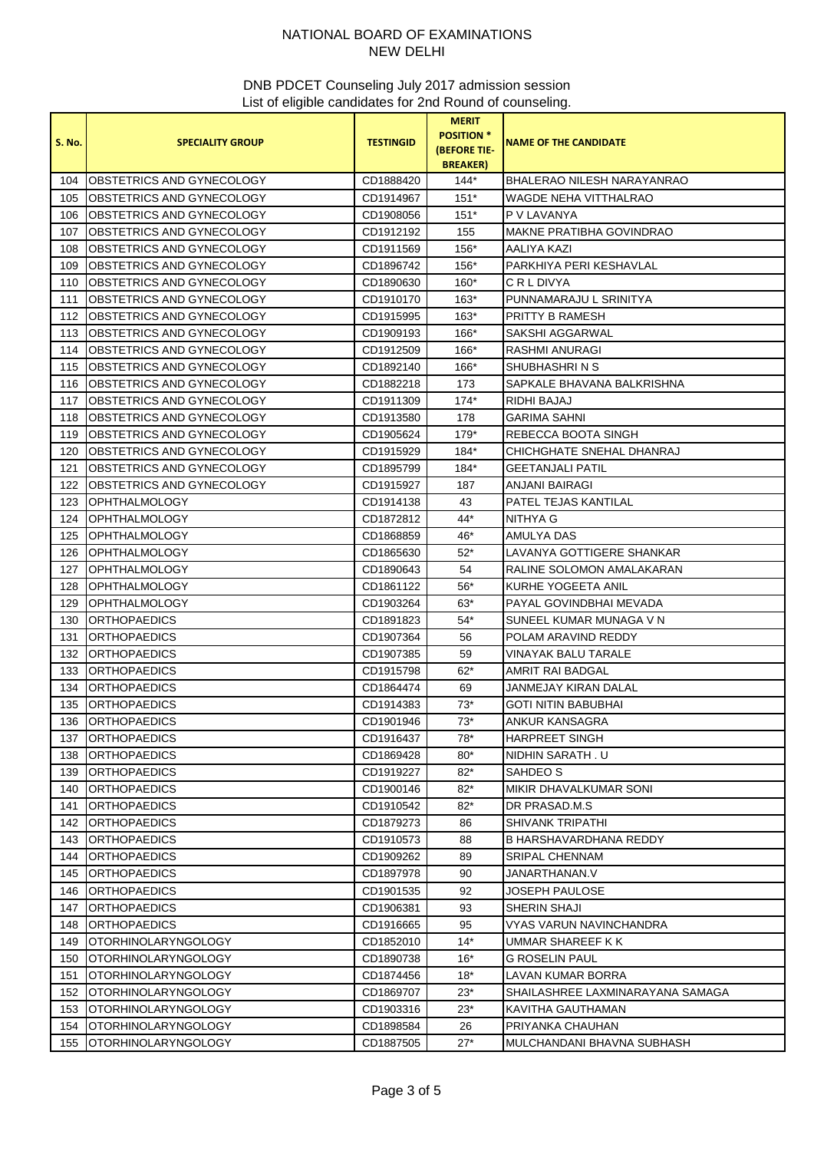|               |                                   |                  | <b>MERIT</b>                             |                                  |
|---------------|-----------------------------------|------------------|------------------------------------------|----------------------------------|
| <b>S. No.</b> | <b>SPECIALITY GROUP</b>           | <b>TESTINGID</b> | <b>POSITION *</b><br><b>(BEFORE TIE-</b> | <b>NAME OF THE CANDIDATE</b>     |
|               |                                   |                  | <b>BREAKER</b> )                         |                                  |
| 104           | <b>IOBSTETRICS AND GYNECOLOGY</b> | CD1888420        | $144*$                                   | BHALERAO NILESH NARAYANRAO       |
| 105           | <b>IOBSTETRICS AND GYNECOLOGY</b> | CD1914967        | $151*$                                   | WAGDE NEHA VITTHALRAO            |
| 106           | <b>JOBSTETRICS AND GYNECOLOGY</b> | CD1908056        | $151*$                                   | P V LAVANYA                      |
| 107           | <b>JOBSTETRICS AND GYNECOLOGY</b> | CD1912192        | 155                                      | <b>MAKNE PRATIBHA GOVINDRAO</b>  |
| 108           | <b>IOBSTETRICS AND GYNECOLOGY</b> | CD1911569        | 156*                                     | AALIYA KAZI                      |
| 109           | <b>JOBSTETRICS AND GYNECOLOGY</b> | CD1896742        | 156*                                     | PARKHIYA PERI KESHAVLAL          |
| 110           | <b>JOBSTETRICS AND GYNECOLOGY</b> | CD1890630        | 160*                                     | C R L DIVYA                      |
| 111           | OBSTETRICS AND GYNECOLOGY         | CD1910170        | $163*$                                   | PUNNAMARAJU L SRINITYA           |
| 112           | <b>JOBSTETRICS AND GYNECOLOGY</b> | CD1915995        | $163*$                                   | <b>PRITTY B RAMESH</b>           |
| 113           | <b>JOBSTETRICS AND GYNECOLOGY</b> | CD1909193        | 166*                                     | SAKSHI AGGARWAL                  |
| 114           | OBSTETRICS AND GYNECOLOGY         | CD1912509        | 166*                                     | RASHMI ANURAGI                   |
| 115           | <b>JOBSTETRICS AND GYNECOLOGY</b> | CD1892140        | 166*                                     | SHUBHASHRI N S                   |
| 116           | <b>JOBSTETRICS AND GYNECOLOGY</b> | CD1882218        | 173                                      | SAPKALE BHAVANA BALKRISHNA       |
| 117           | <b>IOBSTETRICS AND GYNECOLOGY</b> | CD1911309        | $174*$                                   | RIDHI BAJAJ                      |
| 118           | <b>JOBSTETRICS AND GYNECOLOGY</b> | CD1913580        | 178                                      | GARIMA SAHNI                     |
| 119           | <b>JOBSTETRICS AND GYNECOLOGY</b> | CD1905624        | 179*                                     | REBECCA BOOTA SINGH              |
| 120           | <b>JOBSTETRICS AND GYNECOLOGY</b> | CD1915929        | $184*$                                   | CHICHGHATE SNEHAL DHANRAJ        |
| 121           | OBSTETRICS AND GYNECOLOGY         | CD1895799        | 184*                                     | <b>GEETANJALI PATIL</b>          |
| 122           | <b>OBSTETRICS AND GYNECOLOGY</b>  | CD1915927        | 187                                      | <b>ANJANI BAIRAGI</b>            |
| 123           | <b>IOPHTHALMOLOGY</b>             | CD1914138        | 43                                       | PATEL TEJAS KANTILAL             |
| 124           | <b>OPHTHALMOLOGY</b>              | CD1872812        | $44*$                                    | NITHYA G                         |
| 125           | <b>I</b> OPHTHALMOLOGY            | CD1868859        | 46*                                      | AMULYA DAS                       |
| 126           | <b>OPHTHALMOLOGY</b>              | CD1865630        | $52*$                                    | LAVANYA GOTTIGERE SHANKAR        |
| 127           | <b>OPHTHALMOLOGY</b>              | CD1890643        | 54                                       | RALINE SOLOMON AMALAKARAN        |
| 128           | <b>OPHTHALMOLOGY</b>              | CD1861122        | $56*$                                    | KURHE YOGEETA ANIL               |
| 129           | <b>OPHTHALMOLOGY</b>              | CD1903264        | 63*                                      | PAYAL GOVINDBHAI MEVADA          |
| 130           | <b>ORTHOPAEDICS</b>               | CD1891823        | $54*$                                    | SUNEEL KUMAR MUNAGA V N          |
| 131           | <b>ORTHOPAEDICS</b>               | CD1907364        | 56                                       | POLAM ARAVIND REDDY              |
| 132           | <b>ORTHOPAEDICS</b>               | CD1907385        | 59                                       | VINAYAK BALU TARALE              |
| 133           | <b>IORTHOPAEDICS</b>              | CD1915798        | $62*$                                    | AMRIT RAI BADGAL                 |
| 134           | <b>ORTHOPAEDICS</b>               | CD1864474        | 69                                       | JANMEJAY KIRAN DALAL             |
| 135           | <b>ORTHOPAEDICS</b>               | CD1914383        | $73*$                                    | GOTI NITIN BABUBHAI              |
|               | 136 ORTHOPAEDICS                  | CD1901946        | $73^{\ast}$                              | ANKUR KANSAGRA                   |
| 137           | <b>ORTHOPAEDICS</b>               | CD1916437        | 78*                                      | <b>HARPREET SINGH</b>            |
| 138           | <b>ORTHOPAEDICS</b>               | CD1869428        | $80*$                                    | NIDHIN SARATH . U                |
| 139           | <b>ORTHOPAEDICS</b>               | CD1919227        | $82*$                                    | SAHDEO S                         |
| 140           | <b>IORTHOPAEDICS</b>              | CD1900146        | $82*$                                    | MIKIR DHAVALKUMAR SONI           |
| 141           | <b>ORTHOPAEDICS</b>               | CD1910542        | $82*$                                    | DR PRASAD.M.S                    |
| 142           | <b>ORTHOPAEDICS</b>               | CD1879273        | 86                                       | SHIVANK TRIPATHI                 |
| 143           | <b>ORTHOPAEDICS</b>               | CD1910573        | 88                                       | B HARSHAVARDHANA REDDY           |
| 144           | <b>ORTHOPAEDICS</b>               | CD1909262        | 89                                       | <b>SRIPAL CHENNAM</b>            |
| 145           | <b>IORTHOPAEDICS</b>              | CD1897978        | 90                                       | JANARTHANAN.V                    |
| 146           | <b>ORTHOPAEDICS</b>               | CD1901535        | 92                                       | JOSEPH PAULOSE                   |
| 147           | <b>ORTHOPAEDICS</b>               | CD1906381        | 93                                       | SHERIN SHAJI                     |
| 148           | <b>ORTHOPAEDICS</b>               | CD1916665        | 95                                       | VYAS VARUN NAVINCHANDRA          |
| 149           | <b>JOTORHINOLARYNGOLOGY</b>       | CD1852010        | $14*$                                    | UMMAR SHAREEF K K                |
| 150           | <b>OTORHINOLARYNGOLOGY</b>        | CD1890738        | $16*$                                    | G ROSELIN PAUL                   |
| 151           | OTORHINOLARYNGOLOGY               | CD1874456        | $18*$                                    | LAVAN KUMAR BORRA                |
| 152           | <b>OTORHINOLARYNGOLOGY</b>        | CD1869707        | $23*$                                    | SHAILASHREE LAXMINARAYANA SAMAGA |
| 153           | <b>OTORHINOLARYNGOLOGY</b>        | CD1903316        | $23*$                                    | KAVITHA GAUTHAMAN                |
| 154           | <b>JOTORHINOLARYNGOLOGY</b>       | CD1898584        | 26                                       | PRIYANKA CHAUHAN                 |
| 155           | <b>OTORHINOLARYNGOLOGY</b>        | CD1887505        | $27*$                                    | MULCHANDANI BHAVNA SUBHASH       |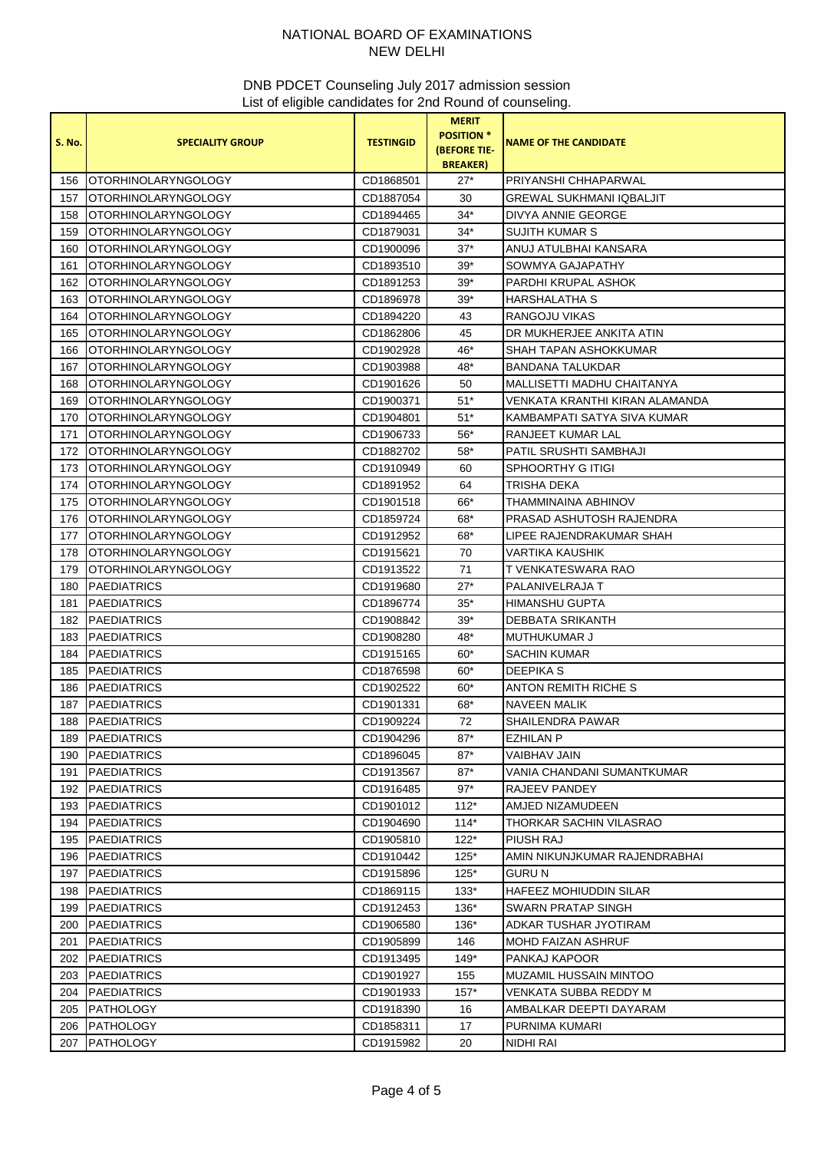|               |                             |                  | <b>MERIT</b><br><b>POSITION *</b> |                                 |
|---------------|-----------------------------|------------------|-----------------------------------|---------------------------------|
| <b>S. No.</b> | <b>SPECIALITY GROUP</b>     | <b>TESTINGID</b> | <b>(BEFORE TIE-</b>               | <b>NAME OF THE CANDIDATE</b>    |
|               |                             |                  | <b>BREAKER</b> )                  |                                 |
| 156           | <b>IOTORHINOLARYNGOLOGY</b> | CD1868501        | $27*$                             | PRIYANSHI CHHAPARWAL            |
| 157           | <b>OTORHINOLARYNGOLOGY</b>  | CD1887054        | 30                                | <b>GREWAL SUKHMANI IQBALJIT</b> |
| 158           | <b>OTORHINOLARYNGOLOGY</b>  | CD1894465        | $34*$                             | DIVYA ANNIE GEORGE              |
| 159           | <b>OTORHINOLARYNGOLOGY</b>  | CD1879031        | $34*$                             | SUJITH KUMAR S                  |
| 160           | OTORHINOLARYNGOLOGY         | CD1900096        | $37*$                             | ANUJ ATULBHAI KANSARA           |
| 161           | <b>OTORHINOLARYNGOLOGY</b>  | CD1893510        | $39*$                             | SOWMYA GAJAPATHY                |
| 162           | <b>OTORHINOLARYNGOLOGY</b>  | CD1891253        | $39*$                             | PARDHI KRUPAL ASHOK             |
| 163           | <b>OTORHINOLARYNGOLOGY</b>  | CD1896978        | $39*$                             | <b>HARSHALATHA S</b>            |
| 164           | <b>OTORHINOLARYNGOLOGY</b>  | CD1894220        | 43                                | RANGOJU VIKAS                   |
| 165           | <b>OTORHINOLARYNGOLOGY</b>  | CD1862806        | 45                                | DR MUKHERJEE ANKITA ATIN        |
| 166           | OTORHINOLARYNGOLOGY         | CD1902928        | 46*                               | SHAH TAPAN ASHOKKUMAR           |
| 167           | OTORHINOLARYNGOLOGY         | CD1903988        | 48*                               | <b>BANDANA TALUKDAR</b>         |
| 168           | <b>OTORHINOLARYNGOLOGY</b>  | CD1901626        | 50                                | MALLISETTI MADHU CHAITANYA      |
| 169           | OTORHINOLARYNGOLOGY         | CD1900371        | $51*$                             | VENKATA KRANTHI KIRAN ALAMANDA  |
| 170           | <b>OTORHINOLARYNGOLOGY</b>  | CD1904801        | $51*$                             | KAMBAMPATI SATYA SIVA KUMAR     |
| 171           | <b>OTORHINOLARYNGOLOGY</b>  | CD1906733        | $56*$                             | RANJEET KUMAR LAL               |
| 172           | <b>IOTORHINOLARYNGOLOGY</b> | CD1882702        | $58*$                             | PATIL SRUSHTI SAMBHAJI          |
| 173           | <b>OTORHINOLARYNGOLOGY</b>  | CD1910949        | 60                                | SPHOORTHY G ITIGI               |
| 174           | <b>OTORHINOLARYNGOLOGY</b>  | CD1891952        | 64                                | TRISHA DEKA                     |
| 175           | <b>OTORHINOLARYNGOLOGY</b>  | CD1901518        | 66*                               | THAMMINAINA ABHINOV             |
| 176           | <b>OTORHINOLARYNGOLOGY</b>  | CD1859724        | 68*                               | PRASAD ASHUTOSH RAJENDRA        |
| 177           | <b>OTORHINOLARYNGOLOGY</b>  | CD1912952        | 68*                               | LIPEE RAJENDRAKUMAR SHAH        |
| 178           | <b>OTORHINOLARYNGOLOGY</b>  | CD1915621        | 70                                | VARTIKA KAUSHIK                 |
| 179           | <b>OTORHINOLARYNGOLOGY</b>  | CD1913522        | 71                                | T VENKATESWARA RAO              |
| 180           | <b>PAEDIATRICS</b>          | CD1919680        | $27*$                             | PALANIVELRAJA T                 |
| 181           | <b>PAEDIATRICS</b>          | CD1896774        | $35*$                             | HIMANSHU GUPTA                  |
| 182           | <b>PAEDIATRICS</b>          | CD1908842        | $39*$                             | DEBBATA SRIKANTH                |
| 183           | <b>PAEDIATRICS</b>          | CD1908280        | 48*                               | <b>MUTHUKUMAR J</b>             |
| 184           | <b>PAEDIATRICS</b>          | CD1915165        | $60*$                             | <b>SACHIN KUMAR</b>             |
| 185           | <b>PAEDIATRICS</b>          | CD1876598        | $60*$                             | DEEPIKA S                       |
| 186           | <b>IPAEDIATRICS</b>         | CD1902522        | $60*$                             | ANTON REMITH RICHE S            |
| 187           | <b>PAEDIATRICS</b>          | CD1901331        | 68*                               | NAVEEN MALIK                    |
| 188           | PAEDIATRICS                 | CD1909224        | 72                                | SHAILENDRA PAWAR                |
| 189           | PAEDIATRICS                 | CD1904296        | $87*$                             | EZHILAN P                       |
| 190           | <b>PAEDIATRICS</b>          | CD1896045        | $87*$                             | VAIBHAV JAIN                    |
| 191           | <b>PAEDIATRICS</b>          | CD1913567        | $87*$                             | VANIA CHANDANI SUMANTKUMAR      |
| 192           | <b>PAEDIATRICS</b>          | CD1916485        | $97*$                             | RAJEEV PANDEY                   |
| 193           | <b>PAEDIATRICS</b>          | CD1901012        | $112*$                            | AMJED NIZAMUDEEN                |
| 194           | <b>PAEDIATRICS</b>          | CD1904690        | 114*                              | THORKAR SACHIN VILASRAO         |
| 195           | <b>PAEDIATRICS</b>          | CD1905810        | $122*$                            | PIUSH RAJ                       |
| 196           | <b>PAEDIATRICS</b>          | CD1910442        | $125*$                            | AMIN NIKUNJKUMAR RAJENDRABHAI   |
| 197           | <b>PAEDIATRICS</b>          | CD1915896        | $125*$                            | GURU N                          |
| 198           | <b>PAEDIATRICS</b>          | CD1869115        | $133*$                            | HAFEEZ MOHIUDDIN SILAR          |
| 199           | <b>PAEDIATRICS</b>          | CD1912453        | 136*                              | SWARN PRATAP SINGH              |
| 200           | PAEDIATRICS                 | CD1906580        | 136*                              | ADKAR TUSHAR JYOTIRAM           |
| 201           | <b>PAEDIATRICS</b>          | CD1905899        | 146                               | MOHD FAIZAN ASHRUF              |
| 202           | <b>IPAEDIATRICS</b>         | CD1913495        | $149*$                            | PANKAJ KAPOOR                   |
| 203           | <b>PAEDIATRICS</b>          | CD1901927        | 155                               | MUZAMIL HUSSAIN MINTOO          |
| 204           | PAEDIATRICS                 | CD1901933        | $157*$                            | VENKATA SUBBA REDDY M           |
| 205           | <b>PATHOLOGY</b>            | CD1918390        | 16                                | AMBALKAR DEEPTI DAYARAM         |
| 206           | <b>PATHOLOGY</b>            | CD1858311        | 17                                | PURNIMA KUMARI                  |
| 207           | PATHOLOGY                   | CD1915982        | 20                                | NIDHI RAI                       |